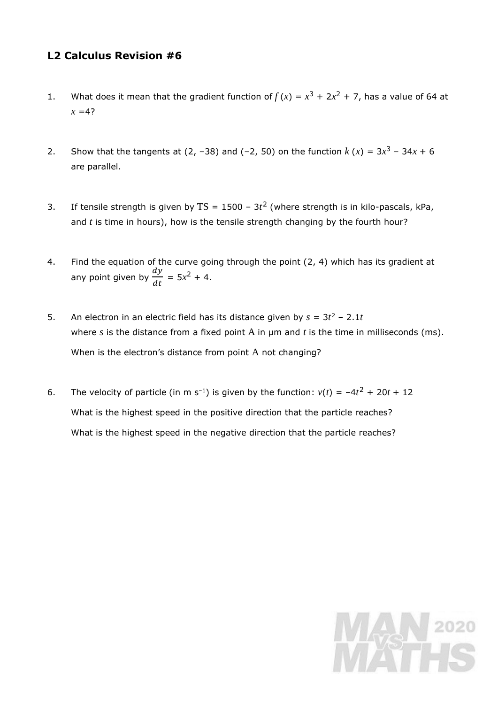## **L2 Calculus Revision #6**

- 1. What does it mean that the gradient function of  $f(x) = x^3 + 2x^2 + 7$ , has a value of 64 at  $x = 4?$
- 2. Show that the tangents at (2, -38) and (-2, 50) on the function  $k(x) = 3x^3 34x + 6$ are parallel.
- 3. If tensile strength is given by  $TS = 1500 3t^2$  (where strength is in kilo-pascals, kPa, and *t* is time in hours), how is the tensile strength changing by the fourth hour?
- 4. Find the equation of the curve going through the point (2, 4) which has its gradient at any point given by  $\frac{dy}{dx}$  $\frac{dy}{dt}$  = 5x<sup>2</sup> + 4.
- 5. An electron in an electric field has its distance given by  $s = 3t^2 2.1t$ where *s* is the distance from a fixed point A in μm and *t* is the time in milliseconds (ms). When is the electron's distance from point A not changing?
- 6. The velocity of particle (in m s<sup>-1</sup>) is given by the function:  $v(t) = -4t^2 + 20t + 12$ What is the highest speed in the positive direction that the particle reaches? What is the highest speed in the negative direction that the particle reaches?